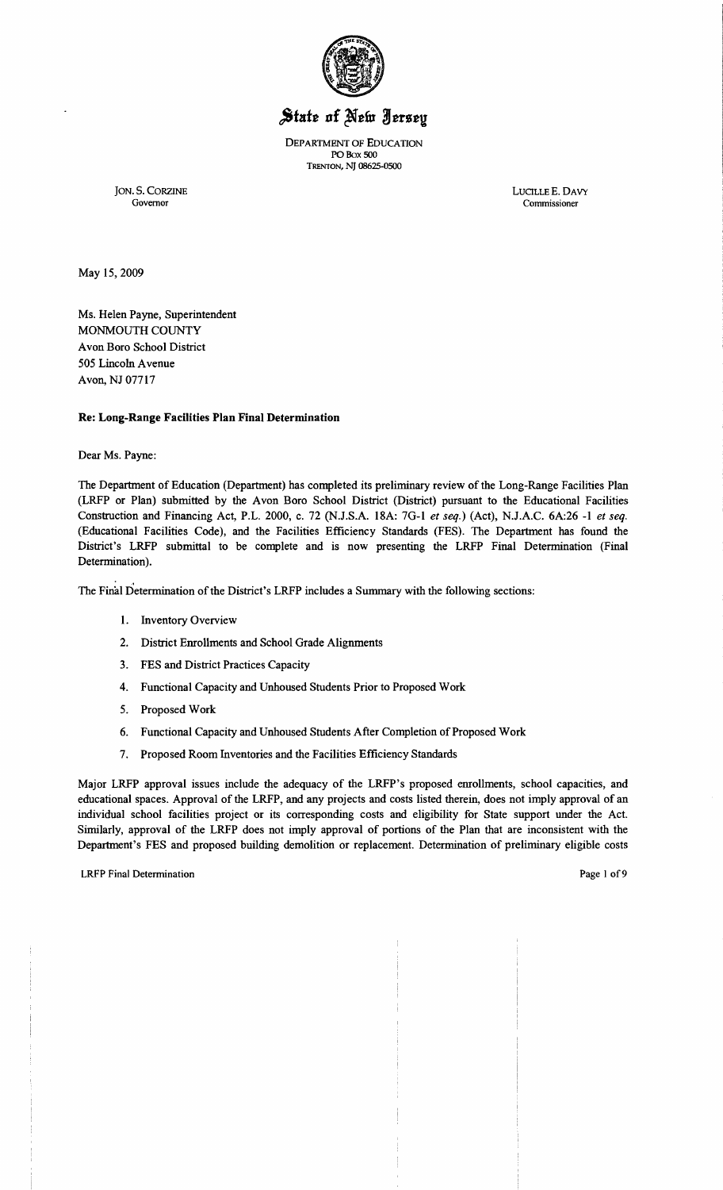

# State of New Jersey

DEPARTMENT OF EDUCATION POBox 500 TRENTON, NJ 08625-0500

JON. S. CORZINE LUCILLE E. DAVY Governor Commissioner

Governor Commissioner

May 15,2009

Ms. Helen Payne, Superintendent MONMOUTH COUNTY Avon Boro School District 505 Lincoln Avenue Avon, NJ 07717

### Re: Long-Range Facilities Plan Final Determination

Dear Ms. Payne:

The Department of Education (Department) has completed its preliminary review of the Long-Range Facilities Plan (LRFP or Plan) submitted by the Avon Boro School District (District) pursuant to the Educational Facilities Construction and Financing Act, P.L. 2000, c. 72 (NJ.S.A. l8A: 7G-l *et seq.)* (Act), N.J.A.C. 6A:26 -1 *et seq.*  (Educational Facilities Code), and the Facilities Efficiency Standards (FES). The Department has found the District's LRFP submittal to be complete and is now presenting the LRFP Final Determination (Final Determination).

The Final Determination of the District's LRFP includes a Summary with the following sections:

- 1. Inventory Overview
- 2. District Enrollments and School Grade Alignments
- 3. FES and District Practices Capacity
- 4. Functional Capacity and Unhoused Students Prior to Proposed Work
- 5. Proposed Work
- 6. Functional Capacity and Unhoused Students After Completion of Proposed Work
- 7. Proposed Room Inventories and the Facilities Efficiency Standards

Major LRFP approval issues include the adequacy of the LRFP's proposed enrollments, school capacities, and educational spaces. Approval of the LRFP, and any projects and costs listed therein, does not imply approval of an individual school facilities project or its corresponding costs and eligibility for State support under the Act. Similarly, approval of the LRFP does not imply approval of portions of the Plan that are inconsistent with the Department's FES and proposed building demolition or replacement. Determination of preliminary eligible costs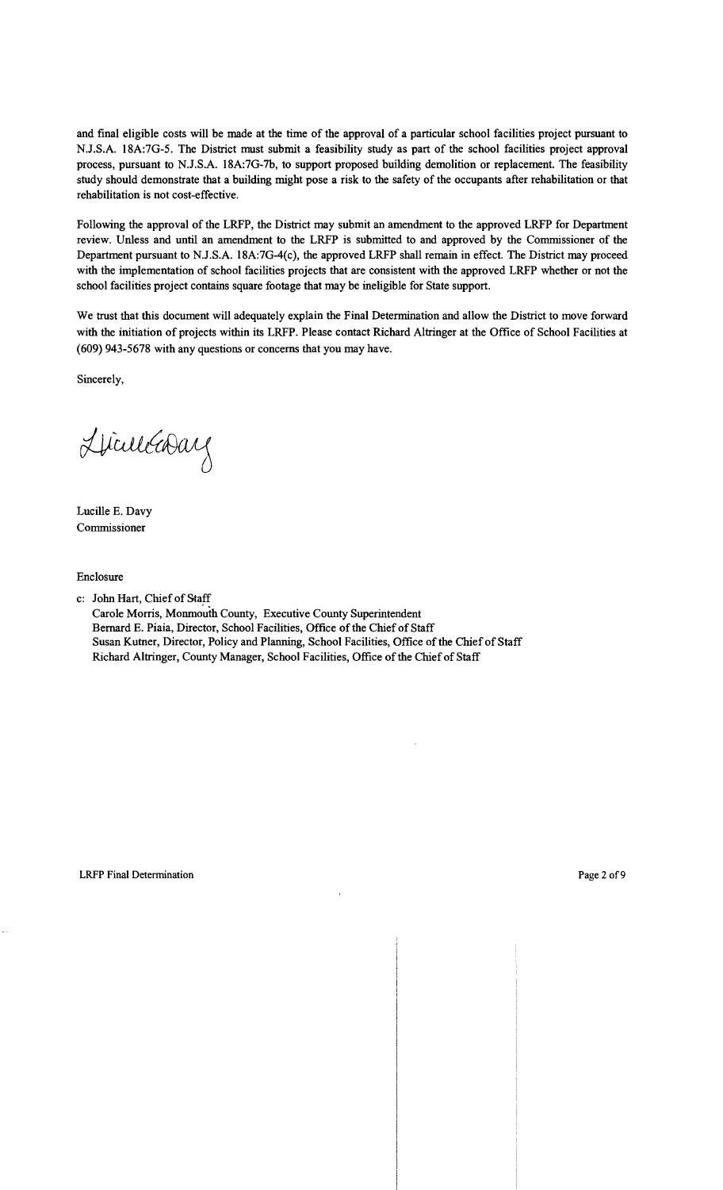and final eligible costs will be made at the time of the approval of a particular school facilities project pursuant to NJ.S.A. 18A:7G-5. The District must submit a feasibility study as part of the school facilities project approval process, pursuant to N.J.S.A. 18A:7G-7b, to support proposed building demolition or replacement. The feasibility study should demonstrate that a building might pose a risk to the safety of the occupants after rehabilitation or that rehabilitation is not cost-effective.

Following the approval of the LRFP, the District may submit an amendment to the approved LRFP for Department review. Unless and until an amendment to the LRFP is submitted to and approved by the Commissioner of the Department pursuant to NJ.S.A. 18A:7G-4(c), the approved LRFP shall remain in effect. The District may proceed with the implementation of school facilities projects that are consistent with the approved LRFP whether or not the school facilities project contains square footage that may be ineligible for State support.

We trust that this document will adequately explain the Final Determination and allow the District to move forward with the initiation of projects within its LRFP. Please contact Richard Altringer at the Office of School Facilities at (609) 943-5678 with any questions or concerns that you may have.

Sincerely,

Liculéasay

Lucille E. Davy Commissioner

Enclosure

c: John Hart, Chief of Staff Carole Morris, Monmouth County, Executive County Superintendent Bernard E. Piaia, Director, School Facilities, Office of the Chief of Staff Susan Kutner, Director, Policy and Planning, School Facilities, Office of the Chief of Staff Richard Altringer, County Manager, School Facilities, Office of the Chief of Staff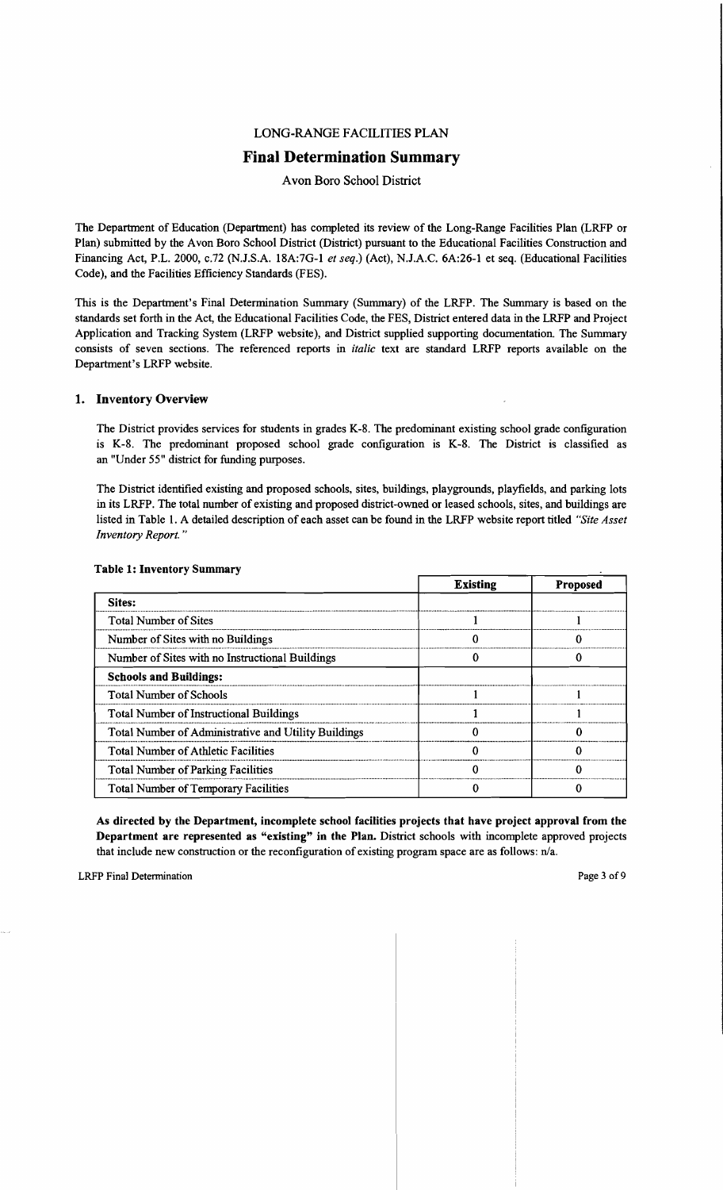# LONG-RANGE FACILITIES PLAN

# **Final Determination Summary**

Avon Boro School District

The Department of Education (Department) has completed its review of the Long-Range Facilities Plan (LRFP or Plan) submitted by the Avon Boro School District (District) pursuant to the Educational Facilities Construction and Financing Act, P.L. 2000, c.72 (N.J.S.A. 18A:7G-l *et seq.)* (Act), N.lA.C. 6A:26-1 et seq. (Educational Facilities Code), and the Facilities Efficiency Standards (FES).

This is the Department's Final Determination Summary (Summary) of the LRFP. The Summary is based on the standards set forth in the Act, the Educational Facilities Code, the FES, District entered data in the LRFP and Project Application and Tracking System (LRFP website), and District supplied supporting documentation. The Summary consists of seven sections. The referenced reports in *italic* text are standard LRFP reports available on the Department's LRFP website.

### 1. Inventory Overview

The District provides services for students in grades K-8. The predominant existing school grade configuration is K-8. The predominant proposed school grade configuration is K-8. The District is classified as an "Under 55" district for funding purposes.

The District identified existing and proposed schools, sites, buildings, playgrounds, playfields, and parking lots in its LRFP. The total number of existing and proposed district-owned or leased schools, sites, and buildings are listed in Table 1. A detailed description of each asset can be found in the LRFP website report titled *"Site Asset Inventory Report. "* 

|                                                      | <b>Existing</b> | <b>Proposed</b> |
|------------------------------------------------------|-----------------|-----------------|
| Sites:                                               |                 |                 |
| <b>Total Number of Sites</b>                         |                 |                 |
| Number of Sites with no Buildings                    |                 |                 |
| Number of Sites with no Instructional Buildings      |                 |                 |
| <b>Schools and Buildings:</b>                        |                 |                 |
| <b>Total Number of Schools</b>                       |                 |                 |
| <b>Total Number of Instructional Buildings</b>       |                 |                 |
| Total Number of Administrative and Utility Buildings |                 |                 |
| <b>Total Number of Athletic Facilities</b>           |                 |                 |
| <b>Total Number of Parking Facilities</b>            |                 |                 |
| <b>Total Number of Temporary Facilities</b>          |                 |                 |

#### Table 1: Inventory Summary

As directed by the Department, incomplete school facilities projects that have project approval from the Department are represented as "existing" in the Plan. District schools with incomplete approved projects that include new construction or the reconfiguration of existing program space are as follows: n/a.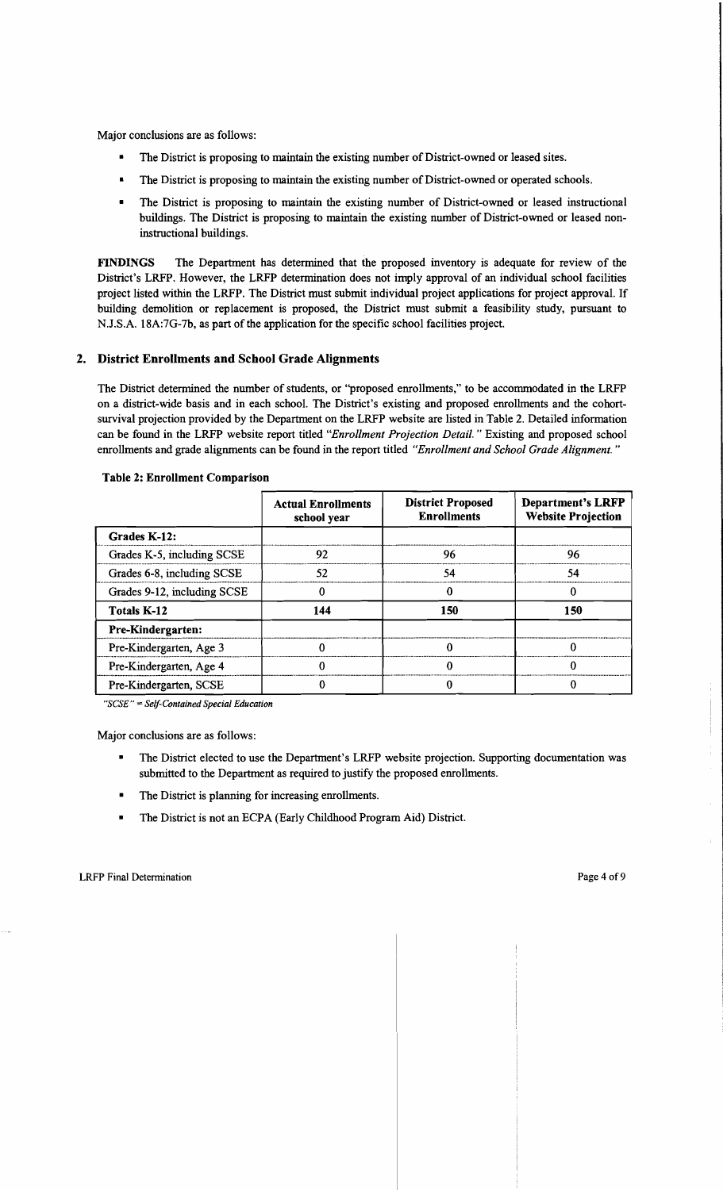Major conclusions are as follows:

- The District is proposing to maintain the existing number of District-owned or leased sites.
- The District is proposing to maintain the existing number of District-owned or operated schools.
- The District is proposing to maintain the existing number of District-owned or leased instructional buildings. The District is proposing to maintain the existing number of District-owned or leased noninstructional buildings.

FINDINGS The Department has determined that the proposed inventory is adequate for review of the District's LRFP. However, the LRFP determination does not imply approval of an individual school facilities project listed within the LRFP. The District must submit individual project applications for project approval. If building demolition or replacement is proposed, the District must submit a feasibility study, pursuant to N.J.S.A. 18A:7G-7b, as part of the application for the specific school facilities project.

#### 2. District Enrollments and School Grade Alignments

The District determined the number of students, or ''proposed enrollments," to be accommodated in the LRFP on a district-wide basis and in each school. The District's existing and proposed enrollments and the cohortsurvival projection provided by the Department on the LRFP website are listed in Table 2. Detailed information can be found in the LRFP website report titled *"Enrollment Projection Detail.* " Existing and proposed school enrollments and grade alignments can be found in the report titled *"Enrollment and School Grade Alignment. "* 

|                             | <b>Actual Enrollments</b><br>school year | <b>District Proposed</b><br><b>Enrollments</b> | <b>Department's LRFP</b><br><b>Website Projection</b> |
|-----------------------------|------------------------------------------|------------------------------------------------|-------------------------------------------------------|
| Grades K-12:                |                                          |                                                |                                                       |
| Grades K-5, including SCSE  | 92                                       | 96                                             | 96                                                    |
| Grades 6-8, including SCSE  | 52                                       | 54                                             | 54                                                    |
| Grades 9-12, including SCSE |                                          |                                                |                                                       |
| <b>Totals K-12</b>          | 144                                      | 150                                            | 150                                                   |
| Pre-Kindergarten:           |                                          |                                                |                                                       |
| Pre-Kindergarten, Age 3     |                                          |                                                |                                                       |
| Pre-Kindergarten, Age 4     |                                          |                                                |                                                       |
| Pre-Kindergarten, SCSE      |                                          |                                                |                                                       |

#### Table 2: Enrollment Comparison

*"SCSE"* = *Self-Contained Special Education* 

Major conclusions are as follows:

- The District elected to use the Department's LRFP website projection. Supporting documentation was submitted to the Department as required to justify the proposed enrollments.
- The District is planning for increasing enrollments.
- **•** The District is not an ECPA (Early Childhood Program Aid) District.

 $\cdot$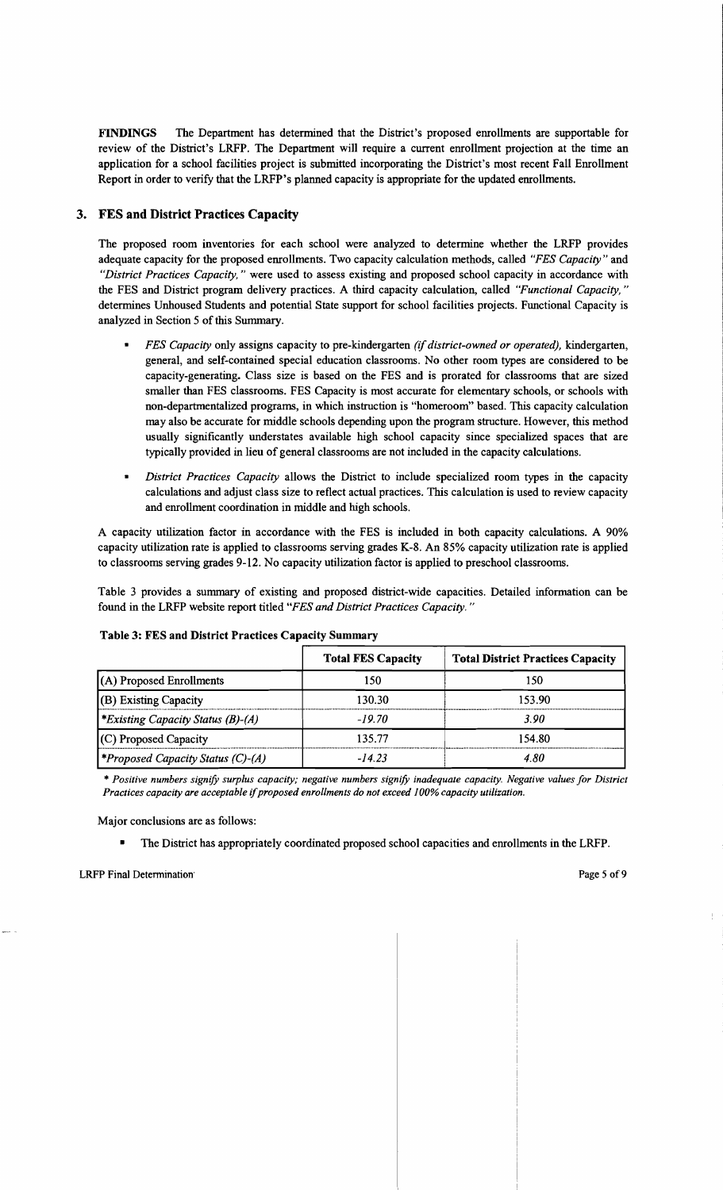FINDINGS The Department has determined that the District's proposed emollments are supportable for review of the District's LRFP. The Department will require a current emollment projection at the time an application for a school facilities project is submitted incorporating the District's most recent Fall Emollment Report in order to verify that the LRFP's planned capacity is appropriate for the updated enrollments.

# 3. FES and District Practices Capacity

The proposed room inventories for each school were analyzed to determine whether the LRFP provides adequate capacity for the proposed emollments. Two capacity calculation methods, called *"FES Capacity"* and *"District Practices Capacity,* " were used to assess existing and proposed school capacity in accordance with the FES and District program delivery practices. A third capacity calculation, called *"Functional Capacity, "*  determines Unhoused Students and potential State support for school facilities projects. Functional Capacity is analyzed in Section 5 of this Summary.

- *FES Capacity* only assigns capacity to pre-kindergarten *(if district-owned or operated)*, kindergarten, general, and self-contained special education classrooms. No other room types are considered to be capacity-generating. Class size is based on the FES and is prorated for classrooms that are sized smaller than FES classrooms. FES Capacity is most accurate for elementary schools, or schools with non-departmentalized programs, in which instruction is "homeroom" based. This capacity calculation may also be accurate for middle schools depending upon the program structure. However, this method usually significantly understates available high school capacity since specialized spaces that are typically provided in lieu of general classrooms are not included in the capacity calculations.
- *District Practices Capacity allows the District to include specialized room types in the capacity* calculations and adjust class size to reflect actual practices. This calculation is used to review capacity and emollment coordination in middle and high schools.

A capacity utilization factor in accordance with the FES is included in both capacity calculations. A 90% capacity utilization rate is applied to classrooms serving grades K-8. An 85% capacity utilization rate is applied to classrooms serving grades 9-12. No capacity utilization factor is applied to preschool classrooms.

Table 3 provides a summary of existing and proposed district-wide capacities. Detailed information can be found in the LRFP website report titled *"FES and District Practices Capacity. "* 

| Table 3: FES and District Practices Capacity Summary |                           |                                          |  |  |
|------------------------------------------------------|---------------------------|------------------------------------------|--|--|
|                                                      | <b>Total FES Capacity</b> | <b>Total District Practices Capacity</b> |  |  |
| (A) Proposed Enrollments                             | 150                       | 150                                      |  |  |
| (B) Existing Capacity                                | 130.30                    | 153.90                                   |  |  |
| *Existing Capacity Status $(B)$ - $(A)$              | $-19.70$                  | 3.90                                     |  |  |
| (C) Proposed Capacity                                | 135.77                    | 154.80                                   |  |  |
| <i><b>*Proposed Capacity Status (C)-(A)</b></i>      | $-14.23$                  | 4.80                                     |  |  |

#### Table 3: FES and District Practices Capacity Summary

\* *Positive numbers signify surplus capacity; negative numbers signify inadequate capacity. Negative values for District Practices capacity are acceptable* if*proposed enrollments do not exceed 100% capacity utilization.* 

Major conclusions are as follows:

• The District has appropriately coordinated proposed school capacities and emollments in the LRFP.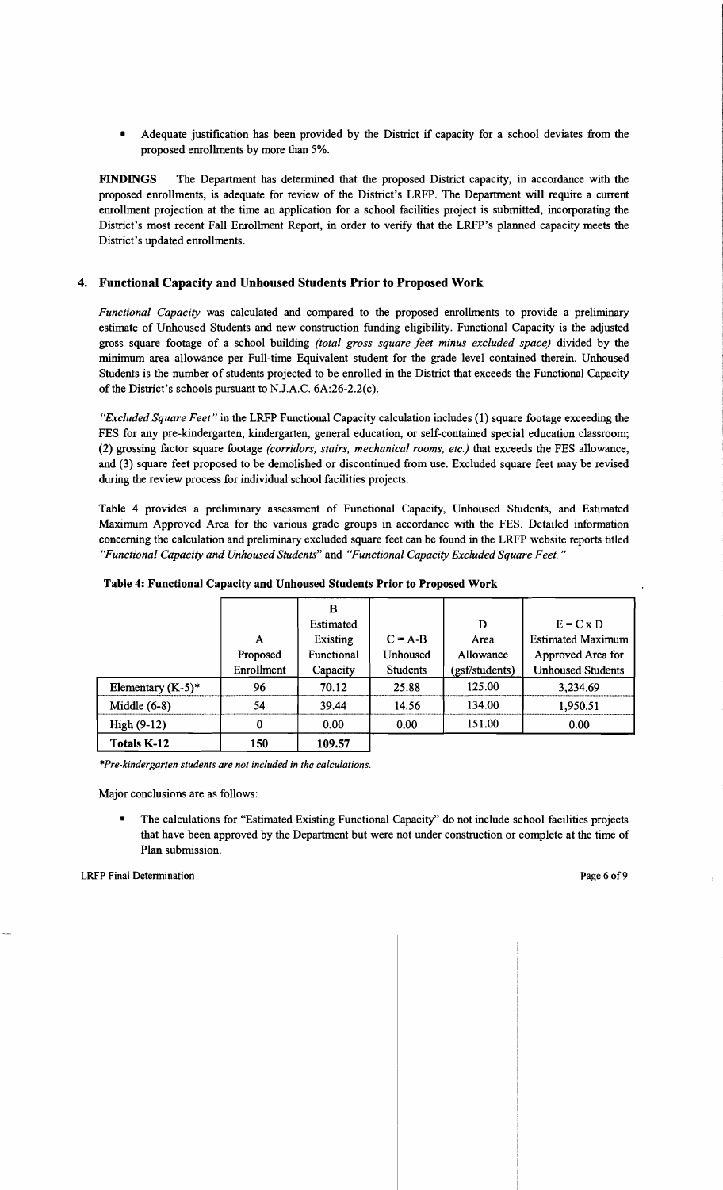• Adequate justification has been provided by the District if capacity for a school deviates from the proposed emollments by more than 5%.

**FINDINGS** The Department has determined that the proposed District capacity, in accordance with the proposed emollments, is adequate for review of the District's LRFP. The Department will require a current emollment projection at the time an application for a school facilities project is submitted, incorporating the District's most recent Fall Emollment Report, in order to verify that the LRFP's planned capacity meets the District's updated emollments.

### **4. Functional Capacity and Unhoused Students Prior to Proposed Work**

*Functional Capacity* was calculated and compared to the proposed emollments to provide a preliminary estimate of Unhoused Students and new construction funding eligibility. Functional Capacity is the adjusted gross square footage of a school building *(total gross square feet minus excluded space)* divided by the minimum area allowance per Full-time Equivalent student for the grade level contained therein. Unhoused Students is the number of students projected to be emolled in the District that exceeds the Functional Capacity of the District's schools pursuant to NJ.A.C. 6A:26-2.2(c).

*"Excluded Square Feet"* in the LRFP Functional Capacity calculation includes (1) square footage exceeding the FES for any pre-kindergarten, kindergarten, general education, or self-contained special education classroom; (2) grossing factor square footage *(corridors, stairs, mechanical rooms, etc.)* that exceeds the FES allowance, and (3) square feet proposed to be demolished or discontinued from use. Excluded square feet may be revised during the review process for individual school facilities projects.

Table 4 provides a preliminary assessment of Functional Capacity, Unhoused Students, and Estimated Maximum Approved Area for the various grade groups in accordance with the FES. Detailed information concerning the calculation and preliminary excluded square feet can be found in the LRFP website reports titled *"Functional Capacity and Unhoused Students"* and *"Functional Capacity Excluded Square Feet. "* 

|                      |            | в          |                 |                |                          |
|----------------------|------------|------------|-----------------|----------------|--------------------------|
|                      |            | Estimated  |                 | D              | $E = C x D$              |
|                      | А          | Existing   | $C = A-B$       | Area           | <b>Estimated Maximum</b> |
|                      | Proposed   | Functional | Unhoused        | Allowance      | Approved Area for        |
|                      | Enrollment | Capacity   | <b>Students</b> | (gsf/students) | <b>Unhoused Students</b> |
| Elementary $(K-5)^*$ | 96         | 70.12      | 25.88           | 125.00         | 3,234.69                 |
| Middle $(6-8)$       | 54         | 39.44      | 14.56           | 134.00         | 1,950.51                 |
| $High(9-12)$         | 0          | 0.00       | 0.00            | 151.00         | 0.00                     |
| <b>Totals K-12</b>   | 150        | 109.57     |                 |                |                          |

#### **Table 4: Functional Capacity and Unhoused Students Prior to Proposed Work**

*\*Pre-kindergarten students are not included in the calculations.* 

Major conclusions are as follows:

• The calculations for "Estimated Existing Functional Capacity" do not include school facilities projects that have been approved by the Department but were not under construction or complete at the time of Plan submission.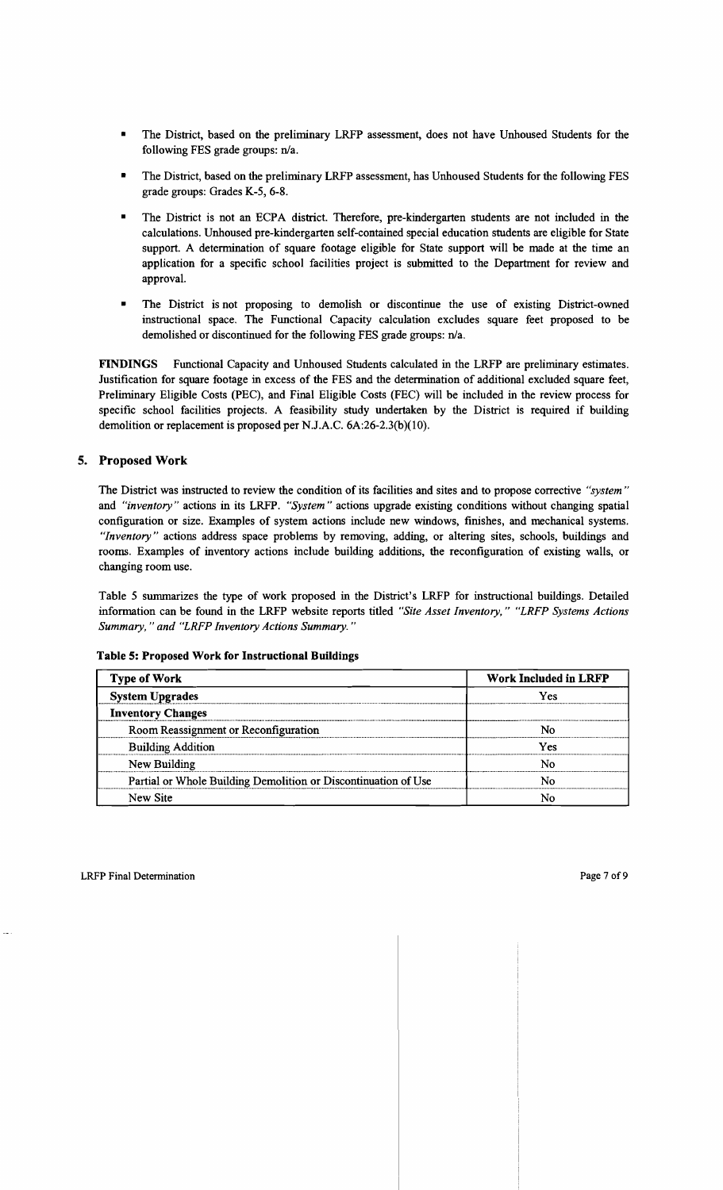- The District, based on the preliminary LRFP assessment, does not have Unhoused Students for the following FES grade groups: n/a.
- The District, based on the preliminary LRFP assessment, has Unhoused Students for the following FES grade groups: Grades K-5, 6-8.
- The District is not an ECPA district. Therefore, pre-kindergarten students are not included in the calculations. Unhoused pre-kindergarten self-contained special education students are eligible for State support. A determination of square footage eligible for State support will be made at the time an application for a specific school facilities project is submitted to the Department for review and approval.
- The District is not proposing to demolish or discontinue the use of existing District-owned instructional space. The Functional Capacity calculation excludes square feet proposed to be demolished or discontinued for the following FES grade groups: n/a.

**FINDINGS** Functional Capacity and Unhoused Students calculated in the LRFP are preliminary estimates. Justification for square footage in excess of the FES and the determination of additional excluded square feet, Preliminary Eligible Costs (PEC), and Final Eligible Costs (FEC) will be included in the review process for specific school facilities projects. A feasibility study undertaken by the District is required if building demolition or replacement is proposed per N.J.A.C. 6A:26-2.3(b)(10).

### **5. Proposed Work**

The District was instructed to review the condition of its facilities and sites and to propose corrective *"system"*  and *"inventory"* actions in its LRFP. *"System"* actions upgrade existing conditions without changing spatial configuration or size. Examples of system actions include new windows, finishes, and mechanical systems. *"Inventory"* actions address space problems by removing, adding, or altering sites, schools, buildings and rooms. Examples of inventory actions include building additions, the reconfiguration of existing walls, or changing room use.

Table 5 summarizes the type of work proposed in the District's LRFP for instructional buildings. Detailed information can be found in the LRFP website reports titled *"Site Asset Inventory," "LRFP Systems Actions Summary,* " *and "LRFP Inventory Actions Summary. "* 

#### **Table 5: Proposed Work for Instructional Buildings**

| <b>Type of Work</b>                                            | <b>Work Included in LRFP</b> |  |  |
|----------------------------------------------------------------|------------------------------|--|--|
| <b>System Upgrades</b>                                         | Yes                          |  |  |
| <b>Inventory Changes</b>                                       |                              |  |  |
| Room Reassignment or Reconfiguration                           | N٥                           |  |  |
| <b>Building Addition</b>                                       | Yes                          |  |  |
| New Building                                                   |                              |  |  |
| Partial or Whole Building Demolition or Discontinuation of Use | N٥                           |  |  |
| New Site                                                       |                              |  |  |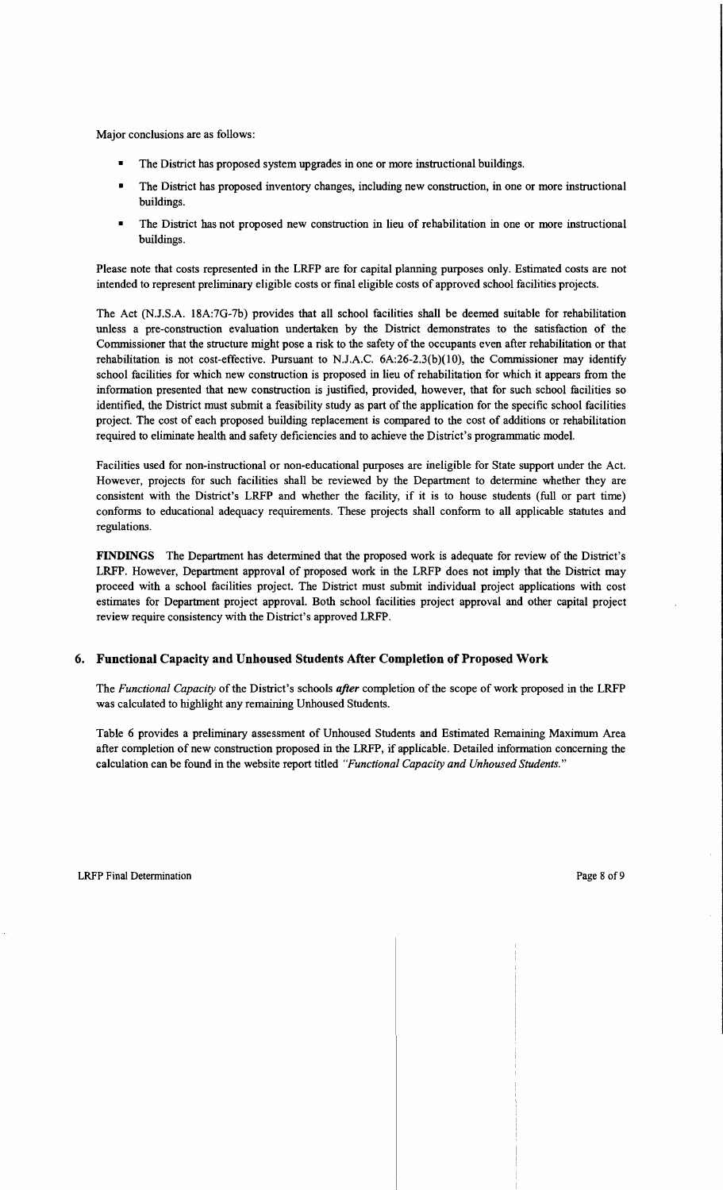Major conclusions are as follows:

- The District has proposed system upgrades in one or more instructional buildings.
- The District has proposed inventory changes, including new construction, in one or more instructional buildings.
- The District has not proposed new construction in lieu of rehabilitation in one or more instructional buildings.

Please note that costs represented in the LRFP are for capital planning purposes only. Estimated costs are not intended to represent preliminary eligible costs or final eligible costs of approved school facilities projects.

The Act (N.J.S.A. 18A:7G-7b) provides that all school facilities shall be deemed suitable for rehabilitation unless a pre-construction evaluation undertaken by the District demonstrates to the satisfaction of the Commissioner that the structure might pose a risk to the safety of the occupants even after rehabilitation or that rehabilitation is not cost-effective. Pursuant to NJ.A.C. 6A:26-2.3(b)(IO), the Commissioner may identify school facilities for which new construction is proposed in lieu of rehabilitation for which it appears from the information presented that new construction is justified, provided, however, that for such school facilities so identified, the District must submit a feasibility study as part of the application for the specific school facilities project. The cost of each proposed building replacement is compared to the cost of additions or rehabilitation required to eliminate health and safety deficiencies and to achieve the District's programmatic model.

Facilities used for non-instructional or non-educational purposes are ineligible for State support under the Act. However, projects for such facilities shall be reviewed by the Department to determine whether they are consistent with the District's LRFP and whether the facility, if it is to house students (full or part time) conforms to educational adequacy requirements. These projects shall conform to all applicable statutes and regulations.

**FINDINGS** The Department has determined that the proposed work is adequate for review of the District's LRFP. However, Department approval of proposed work in the LRFP does not imply that the District may proceed with a school facilities project. The District must submit individual project applications with cost estimates for Department project approval. Both school facilities project approval and other capital project review require consistency with the District's approved LRFP.

# **6. Functional Capacity and Unhoused Students After Completion** of Proposed **Work**

The *Functional Capacity* of the District's schools *after* completion of the scope of work proposed in the LRFP was calculated to highlight any remaining Unhoused Students.

Table 6 provides a preliminary assessment of Unhoused Students and Estimated Remaining Maximum Area after completion of new construction proposed in the LRFP, if applicable. Detailed information concerning the calculation can be found in the website report titled *"Functional Capacity and Unhoused Students."*